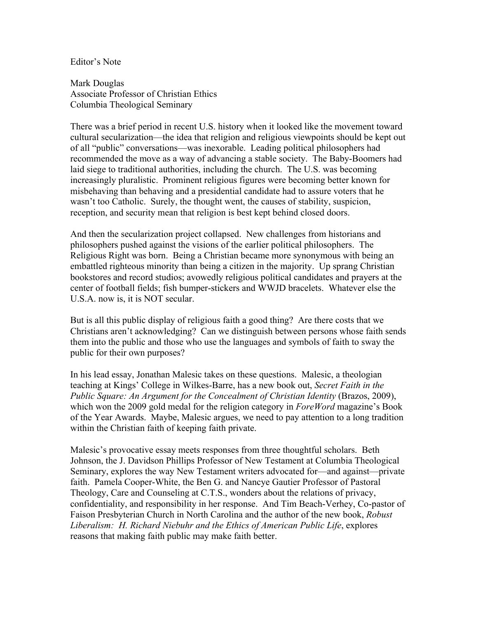Editor's Note

Mark Douglas Associate Professor of Christian Ethics Columbia Theological Seminary

There was a brief period in recent U.S. history when it looked like the movement toward cultural secularization—the idea that religion and religious viewpoints should be kept out of all "public" conversations—was inexorable. Leading political philosophers had recommended the move as a way of advancing a stable society. The Baby-Boomers had laid siege to traditional authorities, including the church. The U.S. was becoming increasingly pluralistic. Prominent religious figures were becoming better known for misbehaving than behaving and a presidential candidate had to assure voters that he wasn't too Catholic. Surely, the thought went, the causes of stability, suspicion, reception, and security mean that religion is best kept behind closed doors.

And then the secularization project collapsed. New challenges from historians and philosophers pushed against the visions of the earlier political philosophers. The Religious Right was born. Being a Christian became more synonymous with being an embattled righteous minority than being a citizen in the majority. Up sprang Christian bookstores and record studios; avowedly religious political candidates and prayers at the center of football fields; fish bumper-stickers and WWJD bracelets. Whatever else the U.S.A. now is, it is NOT secular.

But is all this public display of religious faith a good thing? Are there costs that we Christians aren't acknowledging? Can we distinguish between persons whose faith sends them into the public and those who use the languages and symbols of faith to sway the public for their own purposes?

In his lead essay, Jonathan Malesic takes on these questions. Malesic, a theologian teaching at Kings' College in Wilkes-Barre, has a new book out, *Secret Faith in the Public Square: An Argument for the Concealment of Christian Identity* (Brazos, 2009), which won the 2009 gold medal for the religion category in *ForeWord* magazine's Book of the Year Awards. Maybe, Malesic argues, we need to pay attention to a long tradition within the Christian faith of keeping faith private.

Malesic's provocative essay meets responses from three thoughtful scholars. Beth Johnson, the J. Davidson Phillips Professor of New Testament at Columbia Theological Seminary, explores the way New Testament writers advocated for—and against—private faith. Pamela Cooper-White, the Ben G. and Nancye Gautier Professor of Pastoral Theology, Care and Counseling at C.T.S., wonders about the relations of privacy, confidentiality, and responsibility in her response. And Tim Beach-Verhey, Co-pastor of Faison Presbyterian Church in North Carolina and the author of the new book, *Robust Liberalism: H. Richard Niebuhr and the Ethics of American Public Life*, explores reasons that making faith public may make faith better.